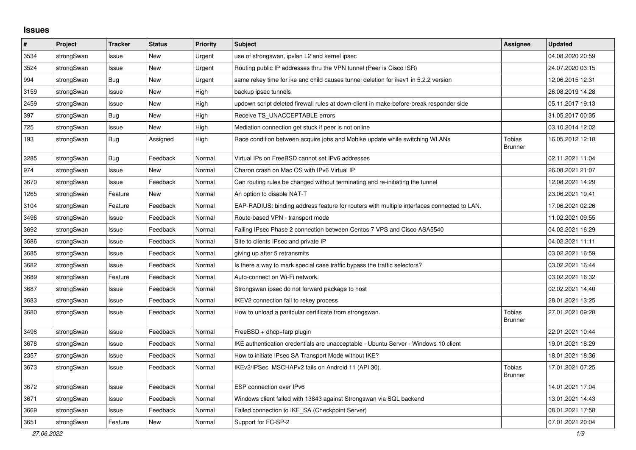## **Issues**

| #    | Project    | <b>Tracker</b> | <b>Status</b> | <b>Priority</b> | <b>Subject</b>                                                                             | Assignee                 | <b>Updated</b>   |
|------|------------|----------------|---------------|-----------------|--------------------------------------------------------------------------------------------|--------------------------|------------------|
| 3534 | strongSwan | Issue          | New           | Urgent          | use of strongswan, ipvlan L2 and kernel ipsec                                              |                          | 04.08.2020 20:59 |
| 3524 | strongSwan | Issue          | <b>New</b>    | Urgent          | Routing public IP addresses thru the VPN tunnel (Peer is Cisco ISR)                        |                          | 24.07.2020 03:15 |
| 994  | strongSwan | Bug            | <b>New</b>    | Urgent          | same rekey time for ike and child causes tunnel deletion for ikev1 in 5.2.2 version        |                          | 12.06.2015 12:31 |
| 3159 | strongSwan | Issue          | <b>New</b>    | High            | backup ipsec tunnels                                                                       |                          | 26.08.2019 14:28 |
| 2459 | strongSwan | Issue          | <b>New</b>    | High            | updown script deleted firewall rules at down-client in make-before-break responder side    |                          | 05.11.2017 19:13 |
| 397  | strongSwan | <b>Bug</b>     | <b>New</b>    | High            | Receive TS UNACCEPTABLE errors                                                             |                          | 31.05.2017 00:35 |
| 725  | strongSwan | Issue          | <b>New</b>    | High            | Mediation connection get stuck if peer is not online                                       |                          | 03.10.2014 12:02 |
| 193  | strongSwan | Bug            | Assigned      | High            | Race condition between acquire jobs and Mobike update while switching WLANs                | Tobias<br><b>Brunner</b> | 16.05.2012 12:18 |
| 3285 | strongSwan | Bug            | Feedback      | Normal          | Virtual IPs on FreeBSD cannot set IPv6 addresses                                           |                          | 02.11.2021 11:04 |
| 974  | strongSwan | Issue          | New           | Normal          | Charon crash on Mac OS with IPv6 Virtual IP                                                |                          | 26.08.2021 21:07 |
| 3670 | strongSwan | Issue          | Feedback      | Normal          | Can routing rules be changed without terminating and re-initiating the tunnel              |                          | 12.08.2021 14:29 |
| 1265 | strongSwan | Feature        | New           | Normal          | An option to disable NAT-T                                                                 |                          | 23.06.2021 19:41 |
| 3104 | strongSwan | Feature        | Feedback      | Normal          | EAP-RADIUS: binding address feature for routers with multiple interfaces connected to LAN. |                          | 17.06.2021 02:26 |
| 3496 | strongSwan | Issue          | Feedback      | Normal          | Route-based VPN - transport mode                                                           |                          | 11.02.2021 09:55 |
| 3692 | strongSwan | Issue          | Feedback      | Normal          | Failing IPsec Phase 2 connection between Centos 7 VPS and Cisco ASA5540                    |                          | 04.02.2021 16:29 |
| 3686 | strongSwan | Issue          | Feedback      | Normal          | Site to clients IPsec and private IP                                                       |                          | 04.02.2021 11:11 |
| 3685 | strongSwan | Issue          | Feedback      | Normal          | giving up after 5 retransmits                                                              |                          | 03.02.2021 16:59 |
| 3682 | strongSwan | Issue          | Feedback      | Normal          | Is there a way to mark special case traffic bypass the traffic selectors?                  |                          | 03.02.2021 16:44 |
| 3689 | strongSwan | Feature        | Feedback      | Normal          | Auto-connect on Wi-Fi network.                                                             |                          | 03.02.2021 16:32 |
| 3687 | strongSwan | Issue          | Feedback      | Normal          | Strongswan ipsec do not forward package to host                                            |                          | 02.02.2021 14:40 |
| 3683 | strongSwan | Issue          | Feedback      | Normal          | IKEV2 connection fail to rekey process                                                     |                          | 28.01.2021 13:25 |
| 3680 | strongSwan | Issue          | Feedback      | Normal          | How to unload a paritcular certificate from strongswan.                                    | Tobias<br><b>Brunner</b> | 27.01.2021 09:28 |
| 3498 | strongSwan | Issue          | Feedback      | Normal          | FreeBSD + dhcp+farp plugin                                                                 |                          | 22.01.2021 10:44 |
| 3678 | strongSwan | Issue          | Feedback      | Normal          | IKE authentication credentials are unacceptable - Ubuntu Server - Windows 10 client        |                          | 19.01.2021 18:29 |
| 2357 | strongSwan | Issue          | Feedback      | Normal          | How to initiate IPsec SA Transport Mode without IKE?                                       |                          | 18.01.2021 18:36 |
| 3673 | strongSwan | Issue          | Feedback      | Normal          | IKEv2/IPSec MSCHAPv2 fails on Android 11 (API 30).                                         | Tobias<br>Brunner        | 17.01.2021 07:25 |
| 3672 | strongSwan | Issue          | Feedback      | Normal          | ESP connection over IPv6                                                                   |                          | 14.01.2021 17:04 |
| 3671 | strongSwan | Issue          | Feedback      | Normal          | Windows client failed with 13843 against Strongswan via SQL backend                        |                          | 13.01.2021 14:43 |
| 3669 | strongSwan | Issue          | Feedback      | Normal          | Failed connection to IKE_SA (Checkpoint Server)                                            |                          | 08.01.2021 17:58 |
| 3651 | strongSwan | Feature        | <b>New</b>    | Normal          | Support for FC-SP-2                                                                        |                          | 07.01.2021 20:04 |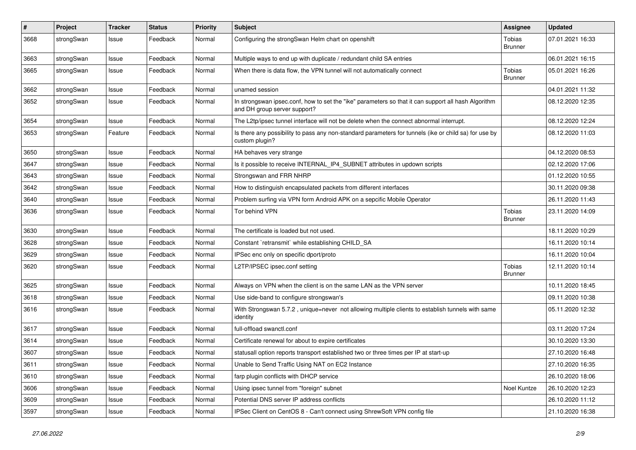| #    | Project    | <b>Tracker</b> | <b>Status</b> | <b>Priority</b> | <b>Subject</b>                                                                                                                      | Assignee                 | <b>Updated</b>   |
|------|------------|----------------|---------------|-----------------|-------------------------------------------------------------------------------------------------------------------------------------|--------------------------|------------------|
| 3668 | strongSwan | Issue          | Feedback      | Normal          | Configuring the strongSwan Helm chart on openshift                                                                                  | Tobias<br><b>Brunner</b> | 07.01.2021 16:33 |
| 3663 | strongSwan | Issue          | Feedback      | Normal          | Multiple ways to end up with duplicate / redundant child SA entries                                                                 |                          | 06.01.2021 16:15 |
| 3665 | strongSwan | Issue          | Feedback      | Normal          | When there is data flow, the VPN tunnel will not automatically connect                                                              | Tobias<br><b>Brunner</b> | 05.01.2021 16:26 |
| 3662 | strongSwan | Issue          | Feedback      | Normal          | unamed session                                                                                                                      |                          | 04.01.2021 11:32 |
| 3652 | strongSwan | Issue          | Feedback      | Normal          | In strongswan ipsec.conf, how to set the "ike" parameters so that it can support all hash Algorithm<br>and DH group server support? |                          | 08.12.2020 12:35 |
| 3654 | strongSwan | Issue          | Feedback      | Normal          | The L2tp/ipsec tunnel interface will not be delete when the connect abnormal interrupt.                                             |                          | 08.12.2020 12:24 |
| 3653 | strongSwan | Feature        | Feedback      | Normal          | Is there any possibility to pass any non-standard parameters for tunnels (ike or child sa) for use by<br>custom plugin?             |                          | 08.12.2020 11:03 |
| 3650 | strongSwan | Issue          | Feedback      | Normal          | HA behaves very strange                                                                                                             |                          | 04.12.2020 08:53 |
| 3647 | strongSwan | Issue          | Feedback      | Normal          | Is it possible to receive INTERNAL_IP4_SUBNET attributes in updown scripts                                                          |                          | 02.12.2020 17:06 |
| 3643 | strongSwan | Issue          | Feedback      | Normal          | Strongswan and FRR NHRP                                                                                                             |                          | 01.12.2020 10:55 |
| 3642 | strongSwan | Issue          | Feedback      | Normal          | How to distinguish encapsulated packets from different interfaces                                                                   |                          | 30.11.2020 09:38 |
| 3640 | strongSwan | Issue          | Feedback      | Normal          | Problem surfing via VPN form Android APK on a sepcific Mobile Operator                                                              |                          | 26.11.2020 11:43 |
| 3636 | strongSwan | Issue          | Feedback      | Normal          | Tor behind VPN                                                                                                                      | Tobias<br><b>Brunner</b> | 23.11.2020 14:09 |
| 3630 | strongSwan | Issue          | Feedback      | Normal          | The certificate is loaded but not used.                                                                                             |                          | 18.11.2020 10:29 |
| 3628 | strongSwan | Issue          | Feedback      | Normal          | Constant `retransmit` while establishing CHILD SA                                                                                   |                          | 16.11.2020 10:14 |
| 3629 | strongSwan | Issue          | Feedback      | Normal          | IPSec enc only on specific dport/proto                                                                                              |                          | 16.11.2020 10:04 |
| 3620 | strongSwan | Issue          | Feedback      | Normal          | L2TP/IPSEC ipsec.conf setting                                                                                                       | Tobias<br><b>Brunner</b> | 12.11.2020 10:14 |
| 3625 | strongSwan | Issue          | Feedback      | Normal          | Always on VPN when the client is on the same LAN as the VPN server                                                                  |                          | 10.11.2020 18:45 |
| 3618 | strongSwan | Issue          | Feedback      | Normal          | Use side-band to configure strongswan's                                                                                             |                          | 09.11.2020 10:38 |
| 3616 | strongSwan | Issue          | Feedback      | Normal          | With Strongswan 5.7.2, unique=never not allowing multiple clients to establish tunnels with same<br>identity                        |                          | 05.11.2020 12:32 |
| 3617 | strongSwan | Issue          | Feedback      | Normal          | full-offload swanctl.conf                                                                                                           |                          | 03.11.2020 17:24 |
| 3614 | strongSwan | Issue          | Feedback      | Normal          | Certificate renewal for about to expire certificates                                                                                |                          | 30.10.2020 13:30 |
| 3607 | strongSwan | Issue          | Feedback      | Normal          | statusall option reports transport established two or three times per IP at start-up                                                |                          | 27.10.2020 16:48 |
| 3611 | strongSwan | Issue          | Feedback      | Normal          | Unable to Send Traffic Using NAT on EC2 Instance                                                                                    |                          | 27.10.2020 16:35 |
| 3610 | strongSwan | Issue          | Feedback      | Normal          | farp plugin conflicts with DHCP service                                                                                             |                          | 26.10.2020 18:06 |
| 3606 | strongSwan | Issue          | Feedback      | Normal          | Using ipsec tunnel from "foreign" subnet                                                                                            | Noel Kuntze              | 26.10.2020 12:23 |
| 3609 | strongSwan | Issue          | Feedback      | Normal          | Potential DNS server IP address conflicts                                                                                           |                          | 26.10.2020 11:12 |
| 3597 | strongSwan | Issue          | Feedback      | Normal          | IPSec Client on CentOS 8 - Can't connect using ShrewSoft VPN config file                                                            |                          | 21.10.2020 16:38 |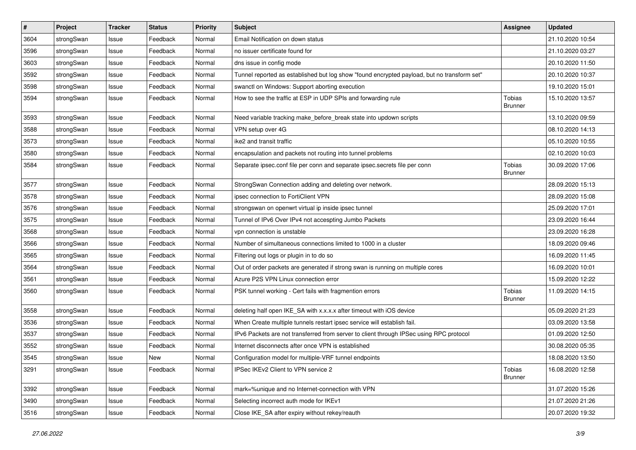| $\sharp$ | Project    | <b>Tracker</b> | <b>Status</b> | <b>Priority</b> | <b>Subject</b>                                                                              | <b>Assignee</b>          | <b>Updated</b>   |
|----------|------------|----------------|---------------|-----------------|---------------------------------------------------------------------------------------------|--------------------------|------------------|
| 3604     | strongSwan | Issue          | Feedback      | Normal          | Email Notification on down status                                                           |                          | 21.10.2020 10:54 |
| 3596     | strongSwan | Issue          | Feedback      | Normal          | no issuer certificate found for                                                             |                          | 21.10.2020 03:27 |
| 3603     | strongSwan | Issue          | Feedback      | Normal          | dns issue in config mode                                                                    |                          | 20.10.2020 11:50 |
| 3592     | strongSwan | Issue          | Feedback      | Normal          | Tunnel reported as established but log show "found encrypted payload, but no transform set" |                          | 20.10.2020 10:37 |
| 3598     | strongSwan | Issue          | Feedback      | Normal          | swanctl on Windows: Support aborting execution                                              |                          | 19.10.2020 15:01 |
| 3594     | strongSwan | Issue          | Feedback      | Normal          | How to see the traffic at ESP in UDP SPIs and forwarding rule                               | Tobias<br><b>Brunner</b> | 15.10.2020 13:57 |
| 3593     | strongSwan | Issue          | Feedback      | Normal          | Need variable tracking make_before_break state into updown scripts                          |                          | 13.10.2020 09:59 |
| 3588     | strongSwan | Issue          | Feedback      | Normal          | VPN setup over 4G                                                                           |                          | 08.10.2020 14:13 |
| 3573     | strongSwan | Issue          | Feedback      | Normal          | ike2 and transit traffic                                                                    |                          | 05.10.2020 10:55 |
| 3580     | strongSwan | Issue          | Feedback      | Normal          | encapsulation and packets not routing into tunnel problems                                  |                          | 02.10.2020 10:03 |
| 3584     | strongSwan | Issue          | Feedback      | Normal          | Separate ipsec.conf file per conn and separate ipsec.secrets file per conn                  | Tobias<br><b>Brunner</b> | 30.09.2020 17:06 |
| 3577     | strongSwan | Issue          | Feedback      | Normal          | StrongSwan Connection adding and deleting over network.                                     |                          | 28.09.2020 15:13 |
| 3578     | strongSwan | Issue          | Feedback      | Normal          | ipsec connection to FortiClient VPN                                                         |                          | 28.09.2020 15:08 |
| 3576     | strongSwan | Issue          | Feedback      | Normal          | strongswan on openwrt virtual ip inside ipsec tunnel                                        |                          | 25.09.2020 17:01 |
| 3575     | strongSwan | Issue          | Feedback      | Normal          | Tunnel of IPv6 Over IPv4 not accespting Jumbo Packets                                       |                          | 23.09.2020 16:44 |
| 3568     | strongSwan | Issue          | Feedback      | Normal          | vpn connection is unstable                                                                  |                          | 23.09.2020 16:28 |
| 3566     | strongSwan | Issue          | Feedback      | Normal          | Number of simultaneous connections limited to 1000 in a cluster                             |                          | 18.09.2020 09:46 |
| 3565     | strongSwan | Issue          | Feedback      | Normal          | Filtering out logs or plugin in to do so                                                    |                          | 16.09.2020 11:45 |
| 3564     | strongSwan | Issue          | Feedback      | Normal          | Out of order packets are generated if strong swan is running on multiple cores              |                          | 16.09.2020 10:01 |
| 3561     | strongSwan | Issue          | Feedback      | Normal          | Azure P2S VPN Linux connection error                                                        |                          | 15.09.2020 12:22 |
| 3560     | strongSwan | Issue          | Feedback      | Normal          | PSK tunnel working - Cert fails with fragmention errors                                     | Tobias<br><b>Brunner</b> | 11.09.2020 14:15 |
| 3558     | strongSwan | Issue          | Feedback      | Normal          | deleting half open IKE_SA with x.x.x.x after timeout with iOS device                        |                          | 05.09.2020 21:23 |
| 3536     | strongSwan | Issue          | Feedback      | Normal          | When Create multiple tunnels restart ipsec service will establish fail.                     |                          | 03.09.2020 13:58 |
| 3537     | strongSwan | Issue          | Feedback      | Normal          | IPv6 Packets are not transferred from server to client through IPSec using RPC protocol     |                          | 01.09.2020 12:50 |
| 3552     | strongSwan | Issue          | Feedback      | Normal          | Internet disconnects after once VPN is established                                          |                          | 30.08.2020 05:35 |
| 3545     | strongSwan | Issue          | New           | Normal          | Configuration model for multiple-VRF tunnel endpoints                                       |                          | 18.08.2020 13:50 |
| 3291     | strongSwan | Issue          | Feedback      | Normal          | IPSec IKEv2 Client to VPN service 2                                                         | Tobias<br><b>Brunner</b> | 16.08.2020 12:58 |
| 3392     | strongSwan | Issue          | Feedback      | Normal          | mark=%unique and no Internet-connection with VPN                                            |                          | 31.07.2020 15:26 |
| 3490     | strongSwan | Issue          | Feedback      | Normal          | Selecting incorrect auth mode for IKEv1                                                     |                          | 21.07.2020 21:26 |
| 3516     | strongSwan | Issue          | Feedback      | Normal          | Close IKE_SA after expiry without rekey/reauth                                              |                          | 20.07.2020 19:32 |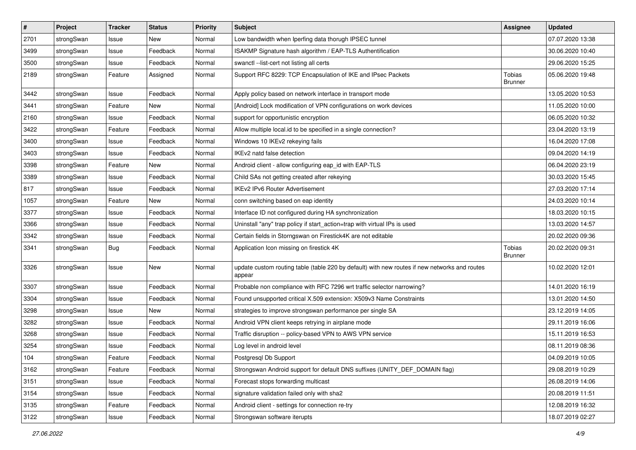| $\sharp$ | Project    | <b>Tracker</b> | <b>Status</b> | <b>Priority</b> | <b>Subject</b>                                                                                          | <b>Assignee</b>          | <b>Updated</b>   |
|----------|------------|----------------|---------------|-----------------|---------------------------------------------------------------------------------------------------------|--------------------------|------------------|
| 2701     | strongSwan | Issue          | New           | Normal          | Low bandwidth when Iperfing data thorugh IPSEC tunnel                                                   |                          | 07.07.2020 13:38 |
| 3499     | strongSwan | Issue          | Feedback      | Normal          | ISAKMP Signature hash algorithm / EAP-TLS Authentification                                              |                          | 30.06.2020 10:40 |
| 3500     | strongSwan | Issue          | Feedback      | Normal          | swanctl --list-cert not listing all certs                                                               |                          | 29.06.2020 15:25 |
| 2189     | strongSwan | Feature        | Assigned      | Normal          | Support RFC 8229: TCP Encapsulation of IKE and IPsec Packets                                            | Tobias<br><b>Brunner</b> | 05.06.2020 19:48 |
| 3442     | strongSwan | Issue          | Feedback      | Normal          | Apply policy based on network interface in transport mode                                               |                          | 13.05.2020 10:53 |
| 3441     | strongSwan | Feature        | New           | Normal          | [Android] Lock modification of VPN configurations on work devices                                       |                          | 11.05.2020 10:00 |
| 2160     | strongSwan | Issue          | Feedback      | Normal          | support for opportunistic encryption                                                                    |                          | 06.05.2020 10:32 |
| 3422     | strongSwan | Feature        | Feedback      | Normal          | Allow multiple local.id to be specified in a single connection?                                         |                          | 23.04.2020 13:19 |
| 3400     | strongSwan | Issue          | Feedback      | Normal          | Windows 10 IKEv2 rekeying fails                                                                         |                          | 16.04.2020 17:08 |
| 3403     | strongSwan | Issue          | Feedback      | Normal          | IKEv2 natd false detection                                                                              |                          | 09.04.2020 14:19 |
| 3398     | strongSwan | Feature        | New           | Normal          | Android client - allow configuring eap_id with EAP-TLS                                                  |                          | 06.04.2020 23:19 |
| 3389     | strongSwan | Issue          | Feedback      | Normal          | Child SAs not getting created after rekeying                                                            |                          | 30.03.2020 15:45 |
| 817      | strongSwan | Issue          | Feedback      | Normal          | <b>IKEv2 IPv6 Router Advertisement</b>                                                                  |                          | 27.03.2020 17:14 |
| 1057     | strongSwan | Feature        | New           | Normal          | conn switching based on eap identity                                                                    |                          | 24.03.2020 10:14 |
| 3377     | strongSwan | Issue          | Feedback      | Normal          | Interface ID not configured during HA synchronization                                                   |                          | 18.03.2020 10:15 |
| 3366     | strongSwan | Issue          | Feedback      | Normal          | Uninstall "any" trap policy if start_action=trap with virtual IPs is used                               |                          | 13.03.2020 14:57 |
| 3342     | strongSwan | Issue          | Feedback      | Normal          | Certain fields in Storngswan on Firestick4K are not editable                                            |                          | 20.02.2020 09:36 |
| 3341     | strongSwan | <b>Bug</b>     | Feedback      | Normal          | Application Icon missing on firestick 4K                                                                | Tobias<br><b>Brunner</b> | 20.02.2020 09:31 |
| 3326     | strongSwan | Issue          | <b>New</b>    | Normal          | update custom routing table (table 220 by default) with new routes if new networks and routes<br>appear |                          | 10.02.2020 12:01 |
| 3307     | strongSwan | Issue          | Feedback      | Normal          | Probable non compliance with RFC 7296 wrt traffic selector narrowing?                                   |                          | 14.01.2020 16:19 |
| 3304     | strongSwan | Issue          | Feedback      | Normal          | Found unsupported critical X.509 extension: X509v3 Name Constraints                                     |                          | 13.01.2020 14:50 |
| 3298     | strongSwan | Issue          | New           | Normal          | strategies to improve strongswan performance per single SA                                              |                          | 23.12.2019 14:05 |
| 3282     | strongSwan | Issue          | Feedback      | Normal          | Android VPN client keeps retrying in airplane mode                                                      |                          | 29.11.2019 16:06 |
| 3268     | strongSwan | Issue          | Feedback      | Normal          | Traffic disruption -- policy-based VPN to AWS VPN service                                               |                          | 15.11.2019 16:53 |
| 3254     | strongSwan | Issue          | Feedback      | Normal          | Log level in android level                                                                              |                          | 08.11.2019 08:36 |
| 104      | strongSwan | Feature        | Feedback      | Normal          | Postgresql Db Support                                                                                   |                          | 04.09.2019 10:05 |
| 3162     | strongSwan | Feature        | Feedback      | Normal          | Strongswan Android support for default DNS suffixes (UNITY DEF DOMAIN flag)                             |                          | 29.08.2019 10:29 |
| 3151     | strongSwan | Issue          | Feedback      | Normal          | Forecast stops forwarding multicast                                                                     |                          | 26.08.2019 14:06 |
| 3154     | strongSwan | Issue          | Feedback      | Normal          | signature validation failed only with sha2                                                              |                          | 20.08.2019 11:51 |
| 3135     | strongSwan | Feature        | Feedback      | Normal          | Android client - settings for connection re-try                                                         |                          | 12.08.2019 16:32 |
| 3122     | strongSwan | Issue          | Feedback      | Normal          | Strongswan software iterupts                                                                            |                          | 18.07.2019 02:27 |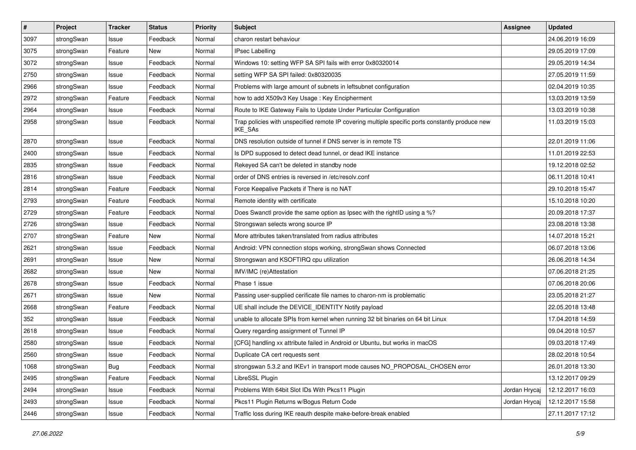| $\sharp$ | Project    | <b>Tracker</b> | <b>Status</b> | <b>Priority</b> | <b>Subject</b>                                                                                              | <b>Assignee</b> | <b>Updated</b>   |
|----------|------------|----------------|---------------|-----------------|-------------------------------------------------------------------------------------------------------------|-----------------|------------------|
| 3097     | strongSwan | Issue          | Feedback      | Normal          | charon restart behaviour                                                                                    |                 | 24.06.2019 16:09 |
| 3075     | strongSwan | Feature        | <b>New</b>    | Normal          | <b>IPsec Labelling</b>                                                                                      |                 | 29.05.2019 17:09 |
| 3072     | strongSwan | Issue          | Feedback      | Normal          | Windows 10: setting WFP SA SPI fails with error 0x80320014                                                  |                 | 29.05.2019 14:34 |
| 2750     | strongSwan | Issue          | Feedback      | Normal          | setting WFP SA SPI failed: 0x80320035                                                                       |                 | 27.05.2019 11:59 |
| 2966     | strongSwan | Issue          | Feedback      | Normal          | Problems with large amount of subnets in leftsubnet configuration                                           |                 | 02.04.2019 10:35 |
| 2972     | strongSwan | Feature        | Feedback      | Normal          | how to add X509v3 Key Usage: Key Encipherment                                                               |                 | 13.03.2019 13:59 |
| 2964     | strongSwan | Issue          | Feedback      | Normal          | Route to IKE Gateway Fails to Update Under Particular Configuration                                         |                 | 13.03.2019 10:38 |
| 2958     | strongSwan | Issue          | Feedback      | Normal          | Trap policies with unspecified remote IP covering multiple specific ports constantly produce new<br>IKE_SAs |                 | 11.03.2019 15:03 |
| 2870     | strongSwan | Issue          | Feedback      | Normal          | DNS resolution outside of tunnel if DNS server is in remote TS                                              |                 | 22.01.2019 11:06 |
| 2400     | strongSwan | Issue          | Feedback      | Normal          | Is DPD supposed to detect dead tunnel, or dead IKE instance                                                 |                 | 11.01.2019 22:53 |
| 2835     | strongSwan | Issue          | Feedback      | Normal          | Rekeyed SA can't be deleted in standby node                                                                 |                 | 19.12.2018 02:52 |
| 2816     | strongSwan | Issue          | Feedback      | Normal          | order of DNS entries is reversed in /etc/resolv.conf                                                        |                 | 06.11.2018 10:41 |
| 2814     | strongSwan | Feature        | Feedback      | Normal          | Force Keepalive Packets if There is no NAT                                                                  |                 | 29.10.2018 15:47 |
| 2793     | strongSwan | Feature        | Feedback      | Normal          | Remote identity with certificate                                                                            |                 | 15.10.2018 10:20 |
| 2729     | strongSwan | Feature        | Feedback      | Normal          | Does Swanctl provide the same option as Ipsec with the rightID using a %?                                   |                 | 20.09.2018 17:37 |
| 2726     | strongSwan | Issue          | Feedback      | Normal          | Strongswan selects wrong source IP                                                                          |                 | 23.08.2018 13:38 |
| 2707     | strongSwan | Feature        | New           | Normal          | More attributes taken/translated from radius attributes                                                     |                 | 14.07.2018 15:21 |
| 2621     | strongSwan | Issue          | Feedback      | Normal          | Android: VPN connection stops working, strongSwan shows Connected                                           |                 | 06.07.2018 13:06 |
| 2691     | strongSwan | Issue          | <b>New</b>    | Normal          | Strongswan and KSOFTIRQ cpu utilization                                                                     |                 | 26.06.2018 14:34 |
| 2682     | strongSwan | Issue          | New           | Normal          | IMV/IMC (re)Attestation                                                                                     |                 | 07.06.2018 21:25 |
| 2678     | strongSwan | Issue          | Feedback      | Normal          | Phase 1 issue                                                                                               |                 | 07.06.2018 20:06 |
| 2671     | strongSwan | Issue          | New           | Normal          | Passing user-supplied cerificate file names to charon-nm is problematic                                     |                 | 23.05.2018 21:27 |
| 2668     | strongSwan | Feature        | Feedback      | Normal          | UE shall include the DEVICE_IDENTITY Notify payload                                                         |                 | 22.05.2018 13:48 |
| 352      | strongSwan | Issue          | Feedback      | Normal          | unable to allocate SPIs from kernel when running 32 bit binaries on 64 bit Linux                            |                 | 17.04.2018 14:59 |
| 2618     | strongSwan | Issue          | Feedback      | Normal          | Query regarding assignment of Tunnel IP                                                                     |                 | 09.04.2018 10:57 |
| 2580     | strongSwan | Issue          | Feedback      | Normal          | [CFG] handling xx attribute failed in Android or Ubuntu, but works in macOS                                 |                 | 09.03.2018 17:49 |
| 2560     | strongSwan | Issue          | Feedback      | Normal          | Duplicate CA cert requests sent                                                                             |                 | 28.02.2018 10:54 |
| 1068     | strongSwan | <b>Bug</b>     | Feedback      | Normal          | strongswan 5.3.2 and IKEv1 in transport mode causes NO PROPOSAL CHOSEN error                                |                 | 26.01.2018 13:30 |
| 2495     | strongSwan | Feature        | Feedback      | Normal          | LibreSSL Plugin                                                                                             |                 | 13.12.2017 09:29 |
| 2494     | strongSwan | Issue          | Feedback      | Normal          | Problems With 64bit Slot IDs With Pkcs11 Plugin                                                             | Jordan Hrycaj   | 12.12.2017 16:03 |
| 2493     | strongSwan | Issue          | Feedback      | Normal          | Pkcs11 Plugin Returns w/Bogus Return Code                                                                   | Jordan Hrycaj   | 12.12.2017 15:58 |
| 2446     | strongSwan | Issue          | Feedback      | Normal          | Traffic loss during IKE reauth despite make-before-break enabled                                            |                 | 27.11.2017 17:12 |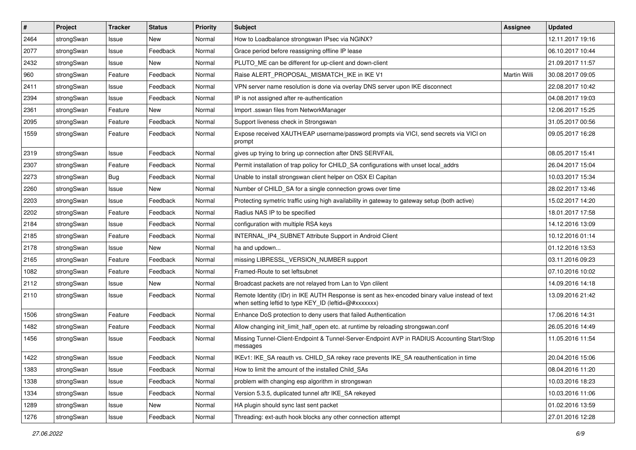| $\sharp$ | Project    | <b>Tracker</b> | <b>Status</b> | <b>Priority</b> | <b>Subject</b>                                                                                                                                          | Assignee            | <b>Updated</b>   |
|----------|------------|----------------|---------------|-----------------|---------------------------------------------------------------------------------------------------------------------------------------------------------|---------------------|------------------|
| 2464     | strongSwan | Issue          | New           | Normal          | How to Loadbalance strongswan IPsec via NGINX?                                                                                                          |                     | 12.11.2017 19:16 |
| 2077     | strongSwan | Issue          | Feedback      | Normal          | Grace period before reassigning offline IP lease                                                                                                        |                     | 06.10.2017 10:44 |
| 2432     | strongSwan | Issue          | New           | Normal          | PLUTO_ME can be different for up-client and down-client                                                                                                 |                     | 21.09.2017 11:57 |
| 960      | strongSwan | Feature        | Feedback      | Normal          | Raise ALERT_PROPOSAL_MISMATCH_IKE in IKE V1                                                                                                             | <b>Martin Willi</b> | 30.08.2017 09:05 |
| 2411     | strongSwan | Issue          | Feedback      | Normal          | VPN server name resolution is done via overlay DNS server upon IKE disconnect                                                                           |                     | 22.08.2017 10:42 |
| 2394     | strongSwan | Issue          | Feedback      | Normal          | IP is not assigned after re-authentication                                                                                                              |                     | 04.08.2017 19:03 |
| 2361     | strongSwan | Feature        | New           | Normal          | Import .sswan files from NetworkManager                                                                                                                 |                     | 12.06.2017 15:25 |
| 2095     | strongSwan | Feature        | Feedback      | Normal          | Support liveness check in Strongswan                                                                                                                    |                     | 31.05.2017 00:56 |
| 1559     | strongSwan | Feature        | Feedback      | Normal          | Expose received XAUTH/EAP username/password prompts via VICI, send secrets via VICI on<br>prompt                                                        |                     | 09.05.2017 16:28 |
| 2319     | strongSwan | Issue          | Feedback      | Normal          | gives up trying to bring up connection after DNS SERVFAIL                                                                                               |                     | 08.05.2017 15:41 |
| 2307     | strongSwan | Feature        | Feedback      | Normal          | Permit installation of trap policy for CHILD_SA configurations with unset local_addrs                                                                   |                     | 26.04.2017 15:04 |
| 2273     | strongSwan | Bug            | Feedback      | Normal          | Unable to install strongswan client helper on OSX El Capitan                                                                                            |                     | 10.03.2017 15:34 |
| 2260     | strongSwan | Issue          | New           | Normal          | Number of CHILD_SA for a single connection grows over time                                                                                              |                     | 28.02.2017 13:46 |
| 2203     | strongSwan | Issue          | Feedback      | Normal          | Protecting symetric traffic using high availability in gateway to gateway setup (both active)                                                           |                     | 15.02.2017 14:20 |
| 2202     | strongSwan | Feature        | Feedback      | Normal          | Radius NAS IP to be specified                                                                                                                           |                     | 18.01.2017 17:58 |
| 2184     | strongSwan | Issue          | Feedback      | Normal          | configuration with multiple RSA keys                                                                                                                    |                     | 14.12.2016 13:09 |
| 2185     | strongSwan | Feature        | Feedback      | Normal          | INTERNAL_IP4_SUBNET Attribute Support in Android Client                                                                                                 |                     | 10.12.2016 01:14 |
| 2178     | strongSwan | Issue          | New           | Normal          | ha and updown                                                                                                                                           |                     | 01.12.2016 13:53 |
| 2165     | strongSwan | Feature        | Feedback      | Normal          | missing LIBRESSL_VERSION_NUMBER support                                                                                                                 |                     | 03.11.2016 09:23 |
| 1082     | strongSwan | Feature        | Feedback      | Normal          | Framed-Route to set leftsubnet                                                                                                                          |                     | 07.10.2016 10:02 |
| 2112     | strongSwan | Issue          | New           | Normal          | Broadcast packets are not relayed from Lan to Vpn clilent                                                                                               |                     | 14.09.2016 14:18 |
| 2110     | strongSwan | Issue          | Feedback      | Normal          | Remote Identity (IDr) in IKE AUTH Response is sent as hex-encoded binary value instead of text<br>when setting leftid to type KEY_ID (leftid=@#xxxxxxx) |                     | 13.09.2016 21:42 |
| 1506     | strongSwan | Feature        | Feedback      | Normal          | Enhance DoS protection to deny users that failed Authentication                                                                                         |                     | 17.06.2016 14:31 |
| 1482     | strongSwan | Feature        | Feedback      | Normal          | Allow changing init_limit_half_open etc. at runtime by reloading strongswan.conf                                                                        |                     | 26.05.2016 14:49 |
| 1456     | strongSwan | Issue          | Feedback      | Normal          | Missing Tunnel-Client-Endpoint & Tunnel-Server-Endpoint AVP in RADIUS Accounting Start/Stop<br>messages                                                 |                     | 11.05.2016 11:54 |
| 1422     | strongSwan | Issue          | Feedback      | Normal          | IKEv1: IKE_SA reauth vs. CHILD_SA rekey race prevents IKE_SA reauthentication in time                                                                   |                     | 20.04.2016 15:06 |
| 1383     | strongSwan | Issue          | Feedback      | Normal          | How to limit the amount of the installed Child SAs                                                                                                      |                     | 08.04.2016 11:20 |
| 1338     | strongSwan | Issue          | Feedback      | Normal          | problem with changing esp algorithm in strongswan                                                                                                       |                     | 10.03.2016 18:23 |
| 1334     | strongSwan | Issue          | Feedback      | Normal          | Version 5.3.5, duplicated tunnel aftr IKE_SA rekeyed                                                                                                    |                     | 10.03.2016 11:06 |
| 1289     | strongSwan | Issue          | New           | Normal          | HA plugin should sync last sent packet                                                                                                                  |                     | 01.02.2016 13:59 |
| 1276     | strongSwan | Issue          | Feedback      | Normal          | Threading: ext-auth hook blocks any other connection attempt                                                                                            |                     | 27.01.2016 12:28 |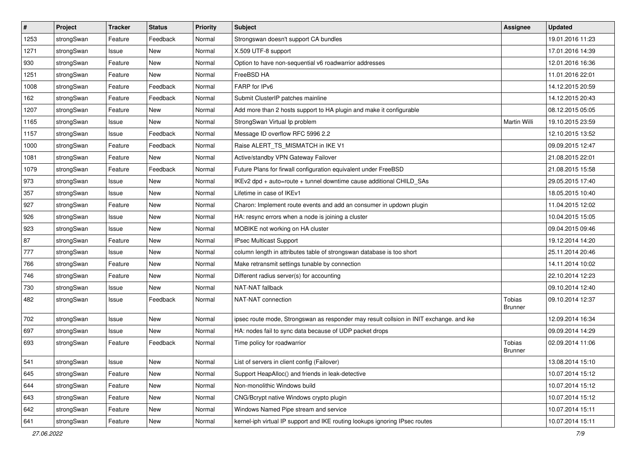| $\vert$ # | Project    | <b>Tracker</b> | <b>Status</b> | <b>Priority</b> | Subject                                                                                 | <b>Assignee</b>          | <b>Updated</b>   |
|-----------|------------|----------------|---------------|-----------------|-----------------------------------------------------------------------------------------|--------------------------|------------------|
| 1253      | strongSwan | Feature        | Feedback      | Normal          | Strongswan doesn't support CA bundles                                                   |                          | 19.01.2016 11:23 |
| 1271      | strongSwan | Issue          | <b>New</b>    | Normal          | X.509 UTF-8 support                                                                     |                          | 17.01.2016 14:39 |
| 930       | strongSwan | Feature        | New           | Normal          | Option to have non-sequential v6 roadwarrior addresses                                  |                          | 12.01.2016 16:36 |
| 1251      | strongSwan | Feature        | New           | Normal          | FreeBSD HA                                                                              |                          | 11.01.2016 22:01 |
| 1008      | strongSwan | Feature        | Feedback      | Normal          | FARP for IPv6                                                                           |                          | 14.12.2015 20:59 |
| 162       | strongSwan | Feature        | Feedback      | Normal          | Submit ClusterIP patches mainline                                                       |                          | 14.12.2015 20:43 |
| 1207      | strongSwan | Feature        | New           | Normal          | Add more than 2 hosts support to HA plugin and make it configurable                     |                          | 08.12.2015 05:05 |
| 1165      | strongSwan | Issue          | New           | Normal          | StrongSwan Virtual Ip problem                                                           | Martin Willi             | 19.10.2015 23:59 |
| 1157      | strongSwan | Issue          | Feedback      | Normal          | Message ID overflow RFC 5996 2.2                                                        |                          | 12.10.2015 13:52 |
| 1000      | strongSwan | Feature        | Feedback      | Normal          | Raise ALERT_TS_MISMATCH in IKE V1                                                       |                          | 09.09.2015 12:47 |
| 1081      | strongSwan | Feature        | New           | Normal          | Active/standby VPN Gateway Failover                                                     |                          | 21.08.2015 22:01 |
| 1079      | strongSwan | Feature        | Feedback      | Normal          | Future Plans for firwall configuration equivalent under FreeBSD                         |                          | 21.08.2015 15:58 |
| 973       | strongSwan | Issue          | <b>New</b>    | Normal          | IKEv2 dpd + auto=route + tunnel downtime cause additional CHILD_SAs                     |                          | 29.05.2015 17:40 |
| 357       | strongSwan | Issue          | New           | Normal          | Lifetime in case of IKEv1                                                               |                          | 18.05.2015 10:40 |
| 927       | strongSwan | Feature        | <b>New</b>    | Normal          | Charon: Implement route events and add an consumer in updown plugin                     |                          | 11.04.2015 12:02 |
| 926       | strongSwan | Issue          | New           | Normal          | HA: resync errors when a node is joining a cluster                                      |                          | 10.04.2015 15:05 |
| 923       | strongSwan | Issue          | New           | Normal          | MOBIKE not working on HA cluster                                                        |                          | 09.04.2015 09:46 |
| 87        | strongSwan | Feature        | <b>New</b>    | Normal          | IPsec Multicast Support                                                                 |                          | 19.12.2014 14:20 |
| 777       | strongSwan | Issue          | New           | Normal          | column length in attributes table of strongswan database is too short                   |                          | 25.11.2014 20:46 |
| 766       | strongSwan | Feature        | New           | Normal          | Make retransmit settings tunable by connection                                          |                          | 14.11.2014 10:02 |
| 746       | strongSwan | Feature        | New           | Normal          | Different radius server(s) for accounting                                               |                          | 22.10.2014 12:23 |
| 730       | strongSwan | Issue          | New           | Normal          | NAT-NAT fallback                                                                        |                          | 09.10.2014 12:40 |
| 482       | strongSwan | Issue          | Feedback      | Normal          | NAT-NAT connection                                                                      | Tobias<br>Brunner        | 09.10.2014 12:37 |
| 702       | strongSwan | Issue          | New           | Normal          | ipsec route mode, Strongswan as responder may result collsion in INIT exchange. and ike |                          | 12.09.2014 16:34 |
| 697       | strongSwan | Issue          | <b>New</b>    | Normal          | HA: nodes fail to sync data because of UDP packet drops                                 |                          | 09.09.2014 14:29 |
| 693       | strongSwan | Feature        | Feedback      | Normal          | Time policy for roadwarrior                                                             | Tobias<br><b>Brunner</b> | 02.09.2014 11:06 |
| 541       | strongSwan | Issue          | New           | Normal          | List of servers in client config (Failover)                                             |                          | 13.08.2014 15:10 |
| 645       | strongSwan | Feature        | <b>New</b>    | Normal          | Support HeapAlloc() and friends in leak-detective                                       |                          | 10.07.2014 15:12 |
| 644       | strongSwan | Feature        | New           | Normal          | Non-monolithic Windows build                                                            |                          | 10.07.2014 15:12 |
| 643       | strongSwan | Feature        | New           | Normal          | CNG/Bcrypt native Windows crypto plugin                                                 |                          | 10.07.2014 15:12 |
| 642       | strongSwan | Feature        | New           | Normal          | Windows Named Pipe stream and service                                                   |                          | 10.07.2014 15:11 |
| 641       | strongSwan | Feature        | New           | Normal          | kernel-iph virtual IP support and IKE routing lookups ignoring IPsec routes             |                          | 10.07.2014 15:11 |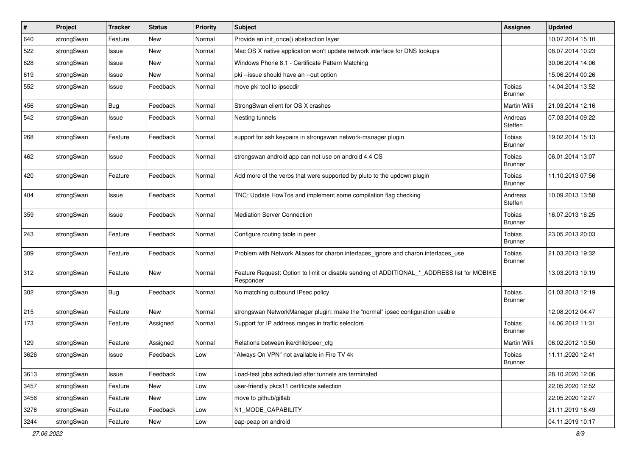| $\vert$ # | Project    | <b>Tracker</b> | <b>Status</b> | Priority | <b>Subject</b>                                                                                           | Assignee                 | <b>Updated</b>   |
|-----------|------------|----------------|---------------|----------|----------------------------------------------------------------------------------------------------------|--------------------------|------------------|
| 640       | strongSwan | Feature        | New           | Normal   | Provide an init once() abstraction layer                                                                 |                          | 10.07.2014 15:10 |
| 522       | strongSwan | Issue          | New           | Normal   | Mac OS X native application won't update network interface for DNS lookups                               |                          | 08.07.2014 10:23 |
| 628       | strongSwan | Issue          | New           | Normal   | Windows Phone 8.1 - Certificate Pattern Matching                                                         |                          | 30.06.2014 14:06 |
| 619       | strongSwan | Issue          | New           | Normal   | pki --issue should have an --out option                                                                  |                          | 15.06.2014 00:26 |
| 552       | strongSwan | Issue          | Feedback      | Normal   | move pki tool to ipsecdir                                                                                | Tobias<br><b>Brunner</b> | 14.04.2014 13:52 |
| 456       | strongSwan | <b>Bug</b>     | Feedback      | Normal   | StrongSwan client for OS X crashes                                                                       | <b>Martin Willi</b>      | 21.03.2014 12:16 |
| 542       | strongSwan | Issue          | Feedback      | Normal   | Nesting tunnels                                                                                          | Andreas<br>Steffen       | 07.03.2014 09:22 |
| 268       | strongSwan | Feature        | Feedback      | Normal   | support for ssh keypairs in strongswan network-manager plugin                                            | Tobias<br>Brunner        | 19.02.2014 15:13 |
| 462       | strongSwan | Issue          | Feedback      | Normal   | strongswan android app can not use on android 4.4 OS                                                     | Tobias<br><b>Brunner</b> | 06.01.2014 13:07 |
| 420       | strongSwan | Feature        | Feedback      | Normal   | Add more of the verbs that were supported by pluto to the updown plugin                                  | Tobias<br><b>Brunner</b> | 11.10.2013 07:56 |
| 404       | strongSwan | Issue          | Feedback      | Normal   | TNC: Update HowTos and implement some compilation flag checking                                          | Andreas<br>Steffen       | 10.09.2013 13:58 |
| 359       | strongSwan | Issue          | Feedback      | Normal   | Mediation Server Connection                                                                              | Tobias<br>Brunner        | 16.07.2013 16:25 |
| 243       | strongSwan | Feature        | Feedback      | Normal   | Configure routing table in peer                                                                          | Tobias<br><b>Brunner</b> | 23.05.2013 20:03 |
| 309       | strongSwan | Feature        | Feedback      | Normal   | Problem with Network Aliases for charon.interfaces_ignore and charon.interfaces_use                      | Tobias<br><b>Brunner</b> | 21.03.2013 19:32 |
| 312       | strongSwan | Feature        | New           | Normal   | Feature Request: Option to limit or disable sending of ADDITIONAL_*_ADDRESS list for MOBIKE<br>Responder |                          | 13.03.2013 19:19 |
| 302       | strongSwan | <b>Bug</b>     | Feedback      | Normal   | No matching outbound IPsec policy                                                                        | Tobias<br><b>Brunner</b> | 01.03.2013 12:19 |
| 215       | strongSwan | Feature        | New           | Normal   | strongswan NetworkManager plugin: make the "normal" ipsec configuration usable                           |                          | 12.08.2012 04:47 |
| 173       | strongSwan | Feature        | Assigned      | Normal   | Support for IP address ranges in traffic selectors                                                       | Tobias<br>Brunner        | 14.06.2012 11:31 |
| 129       | strongSwan | Feature        | Assigned      | Normal   | Relations between ike/child/peer cfg                                                                     | Martin Willi             | 06.02.2012 10:50 |
| 3626      | strongSwan | Issue          | Feedback      | Low      | "Always On VPN" not available in Fire TV 4k                                                              | Tobias<br>Brunner        | 11.11.2020 12:41 |
| 3613      | strongSwan | Issue          | Feedback      | Low      | Load-test jobs scheduled after tunnels are terminated                                                    |                          | 28.10.2020 12:06 |
| 3457      | strongSwan | Feature        | New           | Low      | user-friendly pkcs11 certificate selection                                                               |                          | 22.05.2020 12:52 |
| 3456      | strongSwan | Feature        | New           | Low      | move to github/gitlab                                                                                    |                          | 22.05.2020 12:27 |
| 3276      | strongSwan | Feature        | Feedback      | Low      | N1_MODE_CAPABILITY                                                                                       |                          | 21.11.2019 16:49 |
| 3244      | strongSwan | Feature        | New           | Low      | eap-peap on android                                                                                      |                          | 04.11.2019 10:17 |